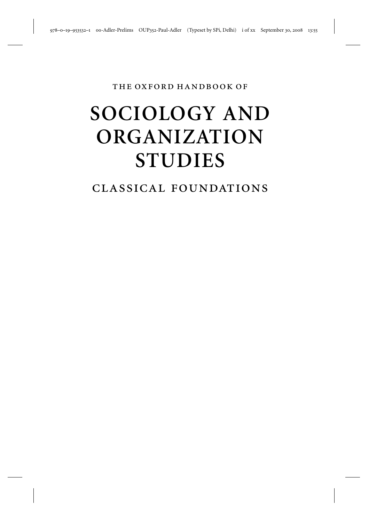#### THE OXFORD HANDBOOK OF

## **SOCIOLOGY AND ORGANIZATION STUDIES**

classical foundations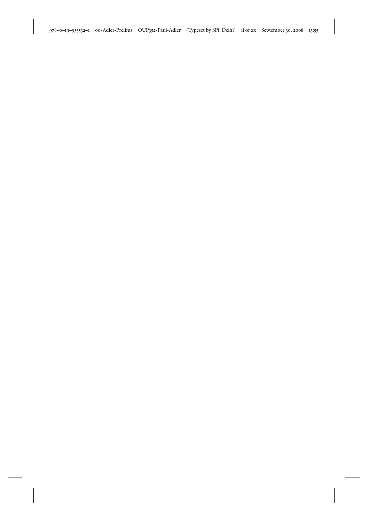–0–19–953532–1 00-Adler-Prelims OUP352-Paul-Adler (Typeset by SPi, Delhi) ii of xx September 30, 2008 13:55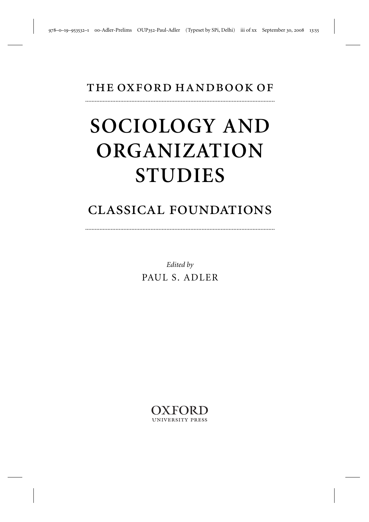### the oxford handbook of

.......................................................................................................................

# **SOCIOLOGY AND ORGANIZATION STUDIES**

### classical foundations

.......................................................................................................................

*Edited by* PAUL S. ADLER

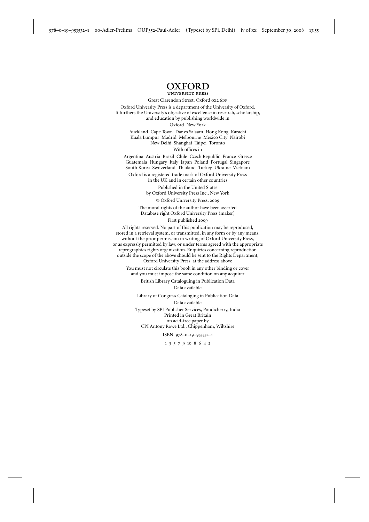### **OXFORD**

Great Clarendon Street, Oxford ox2 6DP Oxford University Press is a department of the University of Oxford. It furthers the University's objective of excellence in research, scholarship, and education by publishing worldwide in Oxford New York

Auckland Cape Town Dar es Salaam Hong Kong Karachi Kuala Lumpur Madrid Melbourne Mexico City Nairobi New Delhi Shanghai Taipei Toronto With offices in

Argentina Austria Brazil Chile Czech Republic France Greece Guatemala Hungary Italy Japan Poland Portugal Singapore South Korea Switzerland Thailand Turkey Ukraine Vietnam Oxford is a registered trade mark of Oxford University Press

in the UK and in certain other countries Published in the United States by Oxford University Press Inc., New York

© Oxford University Press, 2009

The moral rights of the author have been asserted Database right Oxford University Press (maker)

First published 2009

All rights reserved. No part of this publication may be reproduced, stored in a retrieval system, or transmitted, in any form or by any means, without the prior permission in writing of Oxford University Press, or as expressly permitted by law, or under terms agreed with the appropriate reprographics rights organization. Enquiries concerning reproduction outside the scope of the above should be sent to the Rights Department, Oxford University Press, at the address above

You must not circulate this book in any other binding or cover and you must impose the same condition on any acquirer

> British Library Cataloguing in Publication Data Data available

Library of Congress Cataloging in Publication Data Data available

Typeset by SPI Publisher Services, Pondicherry, India Printed in Great Britain on acid-free paper by

CPI Antony Rowe Ltd., Chippenham, Wiltshire

ISBN 978–0–19–953532–1

1 3 5 7 9 10 8 6 4 2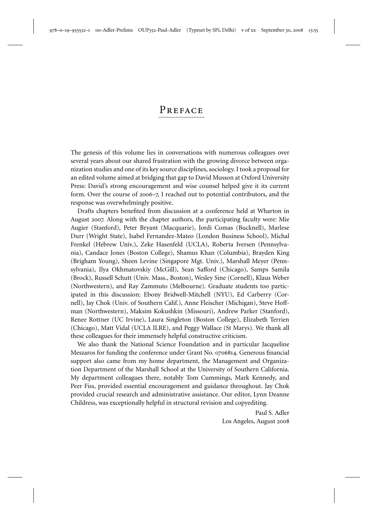### PREFACE

The genesis of this volume lies in conversations with numerous colleagues over several years about our shared frustration with the growing divorce between organization studies and one of its key source disciplines, sociology. I took a proposal for an edited volume aimed at bridging that gap to David Musson at Oxford University Press: David's strong encouragement and wise counsel helped give it its current form. Over the course of 2006–7, I reached out to potential contributors, and the response was overwhelmingly positive.

Drafts chapters benefited from discussion at a conference held at Wharton in August 2007. Along with the chapter authors, the participating faculty were: Mie Augier (Stanford), Peter Bryant (Macquarie), Jordi Comas (Bucknell), Marlese Durr (Wright State), Isabel Fernandez-Mateo (London Business School), Michal Frenkel (Hebrew Univ.), Zeke Hasenfeld (UCLA), Roberta Iversen (Pennsylvania), Candace Jones (Boston College), Shamus Khan (Columbia), Brayden King (Brigham Young), Sheen Levine (Singapore Mgt. Univ.), Marshall Meyer (Pennsylvania), Ilya Okhmatovskiy (McGill), Sean Safford (Chicago), Samps Samila (Brock), Russell Schutt (Univ. Mass., Boston), Wesley Sine (Cornell), Klaus Weber (Northwestern), and Ray Zammuto (Melbourne). Graduate students too participated in this discussion: Ebony Bridwell-Mitchell (NYU), Ed Carberry (Cornell), Jay Chok (Univ. of Southern Calif.), Anne Fleischer (Michigan), Steve Hoffman (Northwestern), Maksim Kokushkin (Missouri), Andrew Parker (Stanford), Renee Rottner (UC Irvine), Laura Singleton (Boston College), Elizabeth Terrien (Chicago), Matt Vidal (UCLA ILRE), and Peggy Wallace (St Marys). We thank all these colleagues for their immensely helpful constructive criticism.

We also thank the National Science Foundation and in particular Jacqueline Meszaros for funding the conference under Grant No. 0706814. Generous financial support also came from my home department, the Management and Organization Department of the Marshall School at the University of Southern California. My department colleagues there, notably Tom Cummings, Mark Kennedy, and Peer Fiss, provided essential encouragement and guidance throughout. Jay Chok provided crucial research and administrative assistance. Our editor, Lynn Deanne Childress, was exceptionally helpful in structural revision and copyediting.

> Paul S. Adler Los Angeles, August 2008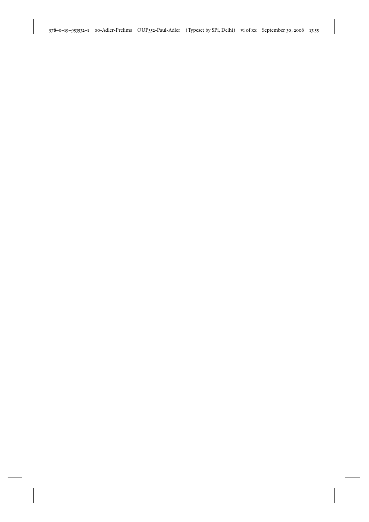–0–19–953532–1 00-Adler-Prelims OUP352-Paul-Adler (Typeset by SPi, Delhi) vi of xx September 30, 2008 13:55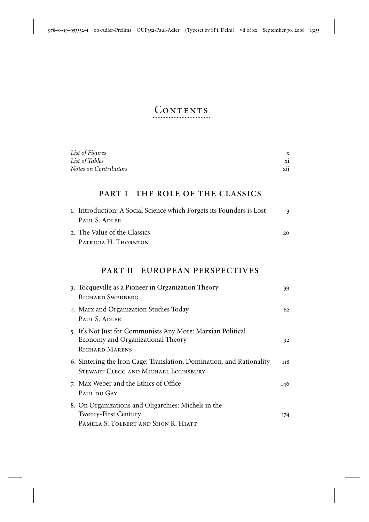### CONTENTS

| List of Figures       |                      |
|-----------------------|----------------------|
| List of Tables        | X1                   |
| Notes on Contributors | $\cdot \cdot$<br>X11 |

#### PART I THE ROLE OF THE CLASSICS

| 1. Introduction: A Social Science which Forgets its Founders is Lost |    |
|----------------------------------------------------------------------|----|
| PAUL S. ADLER                                                        |    |
| 2. The Value of the Classics                                         | 20 |
| PATRICIA H. THORNTON                                                 |    |

PART II EUROPEAN PERSPECTIVES

| 3. Tocqueville as a Pioneer in Organization Theory<br><b>RICHARD SWEDBERG</b>                                             | 39  |
|---------------------------------------------------------------------------------------------------------------------------|-----|
| 4. Marx and Organization Studies Today<br>PAUL S. ADLER                                                                   | 62  |
| 5. It's Not Just for Communists Any More: Marxian Political<br>Economy and Organizational Theory<br>RICHARD MARENS        | 92  |
| 6. Sintering the Iron Cage: Translation, Domination, and Rationality<br>STEWART CLEGG AND MICHAEL LOUNSBURY               | 118 |
| 7. Max Weber and the Ethics of Office<br>PAUL DU GAY                                                                      | 146 |
| 8. On Organizations and Oligarchies: Michels in the<br><b>Twenty-First Century</b><br>PAMELA S. TOLBERT AND SHON R. HIATT | 174 |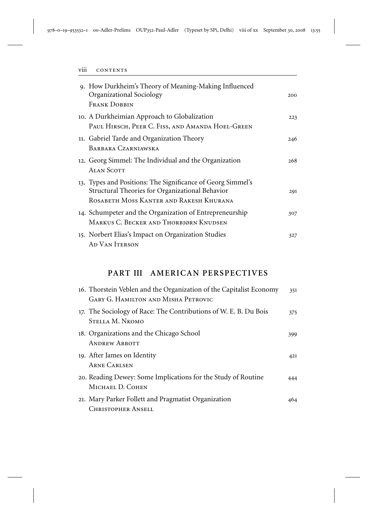viii CONTENTS

| 9. How Durkheim's Theory of Meaning-Making Influenced<br>Organizational Sociology<br>FRANK DOBBIN                                                         | 200 |
|-----------------------------------------------------------------------------------------------------------------------------------------------------------|-----|
| 10. A Durkheimian Approach to Globalization<br>PAUL HIRSCH, PEER C. FISS, AND AMANDA HOEL-GREEN                                                           | 223 |
| 11. Gabriel Tarde and Organization Theory<br>BARBARA CZARNIAWSKA                                                                                          | 246 |
| 12. Georg Simmel: The Individual and the Organization<br><b>ALAN SCOTT</b>                                                                                | 268 |
| 13. Types and Positions: The Significance of Georg Simmel's<br>Structural Theories for Organizational Behavior<br>ROSABETH MOSS KANTER AND RAKESH KHURANA | 291 |
| 14. Schumpeter and the Organization of Entrepreneurship<br>MARKUS C. BECKER AND THORBJØRN KNUDSEN                                                         | 307 |
| 15. Norbert Elias's Impact on Organization Studies<br>AD VAN ITERSON                                                                                      | 327 |

#### PART III AMERICAN PERSPECTIVES

| 16. Thorstein Veblen and the Organization of the Capitalist Economy<br><b>GARY G. HAMILTON AND MISHA PETROVIC</b> | 351 |
|-------------------------------------------------------------------------------------------------------------------|-----|
| 17. The Sociology of Race: The Contributions of W. E. B. Du Bois<br>STELLA M. NKOMO                               | 375 |
| 18. Organizations and the Chicago School<br><b>ANDREW ABBOTT</b>                                                  | 399 |
| 19. After James on Identity<br><b>ARNE CARLSEN</b>                                                                | 421 |
| 20. Reading Dewey: Some Implications for the Study of Routine<br>MICHAEL D. COHEN                                 | 444 |
| 21. Mary Parker Follett and Pragmatist Organization<br><b>CHRISTOPHER ANSELL</b>                                  | 464 |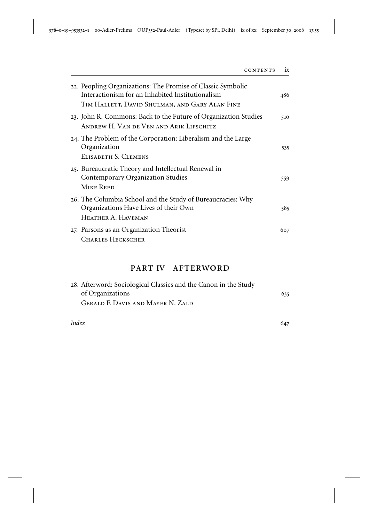| CONTENTS                                                                                                                                                          | 1X  |
|-------------------------------------------------------------------------------------------------------------------------------------------------------------------|-----|
| 22. Peopling Organizations: The Promise of Classic Symbolic<br>Interactionism for an Inhabited Institutionalism<br>TIM HALLETT, DAVID SHULMAN, AND GARY ALAN FINE | 486 |
| 23. John R. Commons: Back to the Future of Organization Studies<br>ANDREW H. VAN DE VEN AND ARIK LIESCHITZ                                                        | 510 |
| 24. The Problem of the Corporation: Liberalism and the Large<br>Organization<br>ELISABETH S. CLEMENS                                                              | 535 |
| 25. Bureaucratic Theory and Intellectual Renewal in<br>Contemporary Organization Studies<br>MIKE REED                                                             | 559 |
| 26. The Columbia School and the Study of Bureaucracies: Why<br>Organizations Have Lives of their Own<br>HEATHER A. HAVEMAN                                        | 585 |
| 27. Parsons as an Organization Theorist<br><b>CHARLES HECKSCHER</b>                                                                                               | 607 |

### PART IV AFTERWORD

| 28. Afterword: Sociological Classics and the Canon in the Study |     |
|-----------------------------------------------------------------|-----|
| of Organizations                                                | 635 |
| GERALD F. DAVIS AND MAYER N. ZALD                               |     |
|                                                                 |     |

Index

647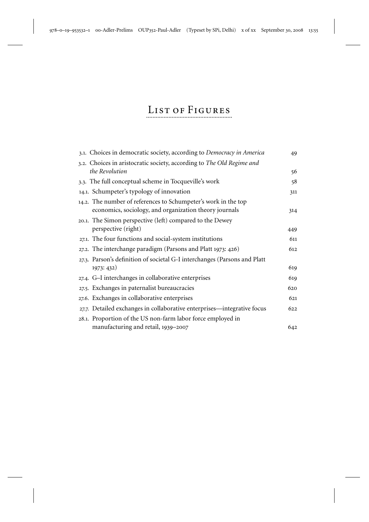### LIST OF FIGURES

.1. Choices in democratic society, according to *Democracy in America* 49 .2. Choices in aristocratic society, according to *The Old Regime and the Revolution* 56 .3. The full conceptual scheme in Tocqueville's work 58 .1. Schumpeter's typology of innovation 311 .2. The number of references to Schumpeter's work in the top economics, sociology, and organization theory journals 314 .1. The Simon perspective (left) compared to the Dewey perspective (right) 449 .1. The four functions and social-system institutions 611 .2. The interchange paradigm (Parsons and Platt 1973: 426) 612 .3. Parson's definition of societal G-I interchanges (Parsons and Platt : 432) 619 .4. G–I interchanges in collaborative enterprises 619 .5. Exchanges in paternalist bureaucracies 620 .6. Exchanges in collaborative enterprises 621 .7. Detailed exchanges in collaborative enterprises—integrative focus 622 .1. Proportion of the US non-farm labor force employed in manufacturing and retail, 1939–2007 642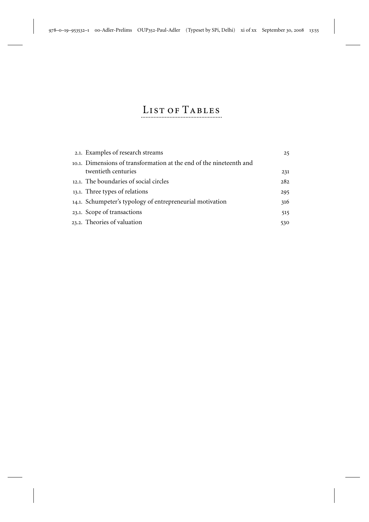## LIST OF TABLES

| 2.1. Examples of research streams                                   | 25  |
|---------------------------------------------------------------------|-----|
| 10.1. Dimensions of transformation at the end of the nineteenth and |     |
| twentieth centuries                                                 | 231 |
| 12.1. The boundaries of social circles                              | 282 |
| 13.1. Three types of relations                                      | 295 |
| 14.1. Schumpeter's typology of entrepreneurial motivation           | 316 |
| 23.1. Scope of transactions                                         | 515 |
| 23.2. Theories of valuation                                         | 530 |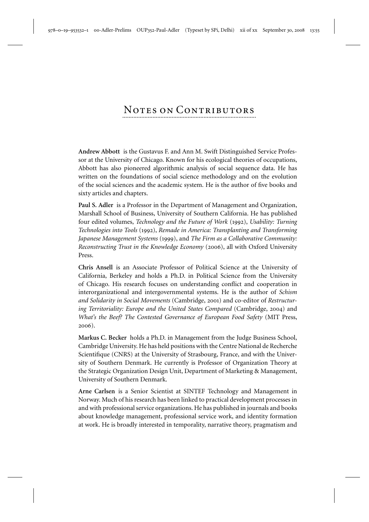### NOTES ON CONTRIBUTORS

**Andrew Abbott** is the Gustavus F. and Ann M. Swift Distinguished Service Professor at the University of Chicago. Known for his ecological theories of occupations, Abbott has also pioneered algorithmic analysis of social sequence data. He has written on the foundations of social science methodology and on the evolution of the social sciences and the academic system. He is the author of five books and

sixty articles and chapters.

**Paul S. Adler** is a Professor in the Department of Management and Organization, Marshall School of Business, University of Southern California. He has published four edited volumes, *Technology and the Future of Work* (1992), *Usability: Turning Technologies into Tools* (1992), *Remade in America: Transplanting and Transforming Japanese Management Systems* (1999), and *The Firm as a Collaborative Community: Reconstructing Trust in the Knowledge Economy* (2006), all with Oxford University Press.

**Chris Ansell** is an Associate Professor of Political Science at the University of California, Berkeley and holds a Ph.D. in Political Science from the University of Chicago. His research focuses on understanding conflict and cooperation in interorganizational and intergovernmental systems. He is the author of *Schism and Solidarity in Social Movements* (Cambridge, 2001) and co-editor of *Restructuring Territoriality: Europe and the United States Compared* (Cambridge, 2004) and *What's the Beef? The Contested Governance of European Food Safety* (MIT Press, 2006).

**Markus C. Becker** holds a Ph.D. in Management from the Judge Business School, Cambridge University. He has held positions with the Centre National de Recherche Scientifique (CNRS) at the University of Strasbourg, France, and with the University of Southern Denmark. He currently is Professor of Organization Theory at the Strategic Organization Design Unit, Department of Marketing & Management, University of Southern Denmark.

**Arne Carlsen** is a Senior Scientist at SINTEF Technology and Management in Norway. Much of his research has been linked to practical development processes in and with professional service organizations. He has published in journals and books about knowledge management, professional service work, and identity formation at work. He is broadly interested in temporality, narrative theory, pragmatism and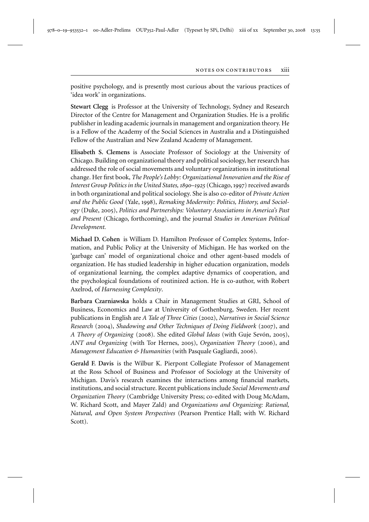#### notes on contributors xiii

positive psychology, and is presently most curious about the various practices of 'idea work' in organizations.

**Stewart Clegg** is Professor at the University of Technology, Sydney and Research Director of the Centre for Management and Organization Studies. He is a prolific publisher in leading academic journals in management and organization theory. He is a Fellow of the Academy of the Social Sciences in Australia and a Distinguished Fellow of the Australian and New Zealand Academy of Management.

**Elisabeth S. Clemens** is Associate Professor of Sociology at the University of Chicago. Building on organizational theory and political sociology, her research has addressed the role of social movements and voluntary organizations in institutional change. Her first book, *The People's Lobby: Organizational Innovation and the Rise of Interest Group Politics in the United States, 1890–1925*(Chicago, 1997) received awards in both organizational and political sociology. She is also co-editor of *Private Action and the Public Good* (Yale, 1998), *Remaking Modernity: Politics, History, and Sociology* (Duke, 2005), *Politics and Partnerships: Voluntary Associations in America's Past and Present* (Chicago, forthcoming), and the journal *Studies in American Political Development.*

**Michael D. Cohen** is William D. Hamilton Professor of Complex Systems, Information, and Public Policy at the University of Michigan. He has worked on the 'garbage can' model of organizational choice and other agent-based models of organization. He has studied leadership in higher education organization, models of organizational learning, the complex adaptive dynamics of cooperation, and the psychological foundations of routinized action. He is co-author, with Robert Axelrod, of *Harnessing Complexity*.

**Barbara Czarniawska** holds a Chair in Management Studies at GRI, School of Business, Economics and Law at University of Gothenburg, Sweden. Her recent publications in English are *A Tale of Three Cities* (2002), *Narratives in Social Science Research* (2004), *Shadowing and Other Techniques of Doing Fieldwork* (2007), and *A Theory of Organizing* (2008). She edited *Global Ideas* (with Guje Sevón, 2005), *ANT and Organizing* (with Tor Hernes, 2005), *Organization Theory* (2006), and *Management Education & Humanities* (with Pasquale Gagliardi, 2006).

**Gerald F. Davis** is the Wilbur K. Pierpont Collegiate Professor of Management at the Ross School of Business and Professor of Sociology at the University of Michigan. Davis's research examines the interactions among financial markets, institutions, and social structure. Recent publications include *Social Movements and Organization Theory* (Cambridge University Press; co-edited with Doug McAdam, W. Richard Scott, and Mayer Zald) and *Organizations and Organizing: Rational, Natural, and Open System Perspectives* (Pearson Prentice Hall; with W. Richard Scott).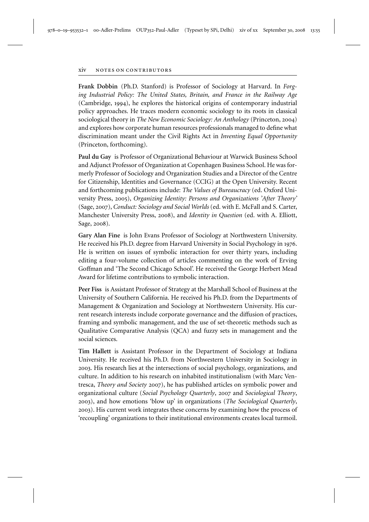#### xiv notes on contributors

**Frank Dobbin** (Ph.D. Stanford) is Professor of Sociology at Harvard. In *Forging Industrial Policy: The United States, Britain, and France in the Railway Age* (Cambridge, 1994), he explores the historical origins of contemporary industrial policy approaches. He traces modern economic sociology to its roots in classical sociological theory in *The New Economic Sociology: An Anthology* (Princeton, 2004) and explores how corporate human resources professionals managed to define what discrimination meant under the Civil Rights Act in *Inventing Equal Opportunity* (Princeton, forthcoming).

**Paul du Gay** is Professor of Organizational Behaviour at Warwick Business School and Adjunct Professor of Organization at Copenhagen Business School. He was formerly Professor of Sociology and Organization Studies and a Director of the Centre for Citizenship, Identities and Governance (CCIG) at the Open University. Recent and forthcoming publications include: *The Values of Bureaucracy* (ed. Oxford University Press, 2005), *Organizing Identity: Persons and Organizations 'After Theory'* (Sage, 2007), *Conduct: Sociology and Social Worlds* (ed. with E. McFall and S. Carter, Manchester University Press, 2008), and *Identity in Question* (ed. with A. Elliott, Sage, 2008).

**Gary Alan Fine** is John Evans Professor of Sociology at Northwestern University. He received his Ph.D. degree from Harvard University in Social Psychology in 1976. He is written on issues of symbolic interaction for over thirty years, including editing a four-volume collection of articles commenting on the work of Erving Goffman and 'The Second Chicago School'. He received the George Herbert Mead Award for lifetime contributions to symbolic interaction.

**Peer Fiss** is Assistant Professor of Strategy at the Marshall School of Business at the University of Southern California. He received his Ph.D. from the Departments of Management & Organization and Sociology at Northwestern University. His current research interests include corporate governance and the diffusion of practices, framing and symbolic management, and the use of set-theoretic methods such as Qualitative Comparative Analysis (QCA) and fuzzy sets in management and the social sciences.

**Tim Hallett** is Assistant Professor in the Department of Sociology at Indiana University. He received his Ph.D. from Northwestern University in Sociology in 2003. His research lies at the intersections of social psychology, organizations, and culture. In addition to his research on inhabited institutionalism (with Marc Ventresca, *Theory and Society* 2007), he has published articles on symbolic power and organizational culture (*Social Psychology Quarterly*, 2007 and *Sociological Theory*, 2003), and how emotions 'blow up' in organizations (*The Sociological Quarterly*, 2003). His current work integrates these concerns by examining how the process of 'recoupling' organizations to their institutional environments creates local turmoil.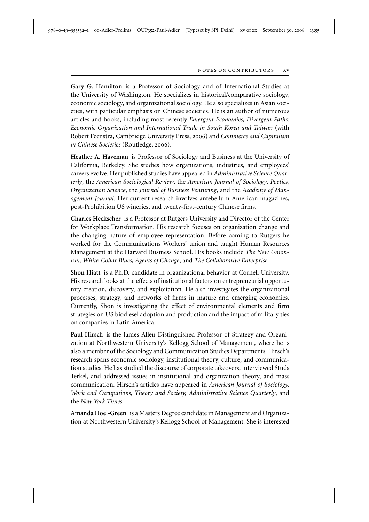#### notes on contributors xv

**Gary G. Hamilton** is a Professor of Sociology and of International Studies at the University of Washington. He specializes in historical/comparative sociology, economic sociology, and organizational sociology. He also specializes in Asian societies, with particular emphasis on Chinese societies. He is an author of numerous articles and books, including most recently *Emergent Economies, Divergent Paths: Economic Organization and International Trade in South Korea and Taiwan* (with Robert Feenstra, Cambridge University Press, 2006) and *Commerce and Capitalism in Chinese Societies* (Routledge, 2006).

**Heather A. Haveman** is Professor of Sociology and Business at the University of California, Berkeley. She studies how organizations, industries, and employees' careers evolve. Her published studies have appeared in *Administrative Science Quarterly*, the *American Sociological Review*, the *American Journal of Sociology*, *Poetics*, *Organization Science*, the *Journal of Business Venturing*, and the *Academy of Management Journal*. Her current research involves antebellum American magazines, post-Prohibition US wineries, and twenty-first-century Chinese firms.

**Charles Heckscher** is a Professor at Rutgers University and Director of the Center for Workplace Transformation. His research focuses on organization change and the changing nature of employee representation. Before coming to Rutgers he worked for the Communications Workers' union and taught Human Resources Management at the Harvard Business School. His books include *The New Unionism, White-Collar Blues, Agents of Change*, and *The Collaborative Enterprise.*

**Shon Hiatt** is a Ph.D. candidate in organizational behavior at Cornell University. His research looks at the effects of institutional factors on entrepreneurial opportunity creation, discovery, and exploitation. He also investigates the organizational processes, strategy, and networks of firms in mature and emerging economies. Currently, Shon is investigating the effect of environmental elements and firm strategies on US biodiesel adoption and production and the impact of military ties on companies in Latin America.

**Paul Hirsch** is the James Allen Distinguished Professor of Strategy and Organization at Northwestern University's Kellogg School of Management, where he is also a member of the Sociology and Communication Studies Departments. Hirsch's research spans economic sociology, institutional theory, culture, and communication studies. He has studied the discourse of corporate takeovers, interviewed Studs Terkel, and addressed issues in institutional and organization theory, and mass communication. Hirsch's articles have appeared in *American Journal of Sociology, Work and Occupations, Theory and Society, Administrative Science Quarterly*, and the *New York Times*.

**Amanda Hoel-Green** is a Masters Degree candidate in Management and Organization at Northwestern University's Kellogg School of Management. She is interested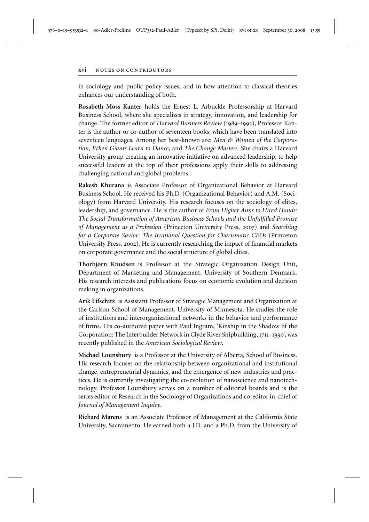#### xvi notes on contributors

in sociology and public policy issues, and in how attention to classical theories enhances our understanding of both.

**Rosabeth Moss Kanter** holds the Ernest L. Arbuckle Professorship at Harvard Business School, where she specializes in strategy, innovation, and leadership for change. The former editor of *Harvard Business Review* (1989–1992), Professor Kanter is the author or co-author of seventeen books, which have been translated into seventeen languages. Among her best-known are: *Men & Women of the Corporation*, *When Giants Learn to Dance*, and *The Change Masters*. She chairs a Harvard University group creating an innovative initiative on advanced leadership, to help successful leaders at the top of their professions apply their skills to addressing challenging national and global problems.

**Rakesh Khurana** is Associate Professor of Organizational Behavior at Harvard Business School. He received his Ph.D. (Organizational Behavior) and A.M. (Sociology) from Harvard University. His research focuses on the sociology of elites, leadership, and governance. He is the author of *From Higher Aims to Hired Hands: The Social Transformation of American Business Schools and the Unfulfilled Promise of Management as a Profession* (Princeton University Press, 2007) and *Searching for a Corporate Savior: The Irrational Question for Charismatic CEOs* (Princeton University Press, 2002). He is currently researching the impact of financial markets on corporate governance and the social structure of global elites.

**Thorbjørn Knudsen** is Professor at the Strategic Organization Design Unit, Department of Marketing and Management, University of Southern Denmark. His research interests and publications focus on economic evolution and decision making in organizations.

**Arik Lifschitz** is Assistant Professor of Strategic Management and Organization at the Carlson School of Management, University of Minnesota. He studies the role of institutions and interorganizational networks in the behavior and performance of firms. His co-authored paper with Paul Ingram, 'Kinship in the Shadow of the Corporation: The Interbuilder Network in Clyde River Shipbuilding, 1711–1990', was recently published in the *American Sociological Review*.

**Michael Lounsbury** is a Professor at the University of Alberta, School of Business. His research focuses on the relationship between organizational and institutional change, entrepreneurial dynamics, and the emergence of new industries and practices. He is currently investigating the co-evolution of nanoscience and nanotechnology. Professor Lounsbury serves on a number of editorial boards and is the series editor of Research in the Sociology of Organizations and co-editor in-chief of *Journal of Management Inquiry*.

**Richard Marens** is an Associate Professor of Management at the California State University, Sacramento. He earned both a J.D. and a Ph.D. from the University of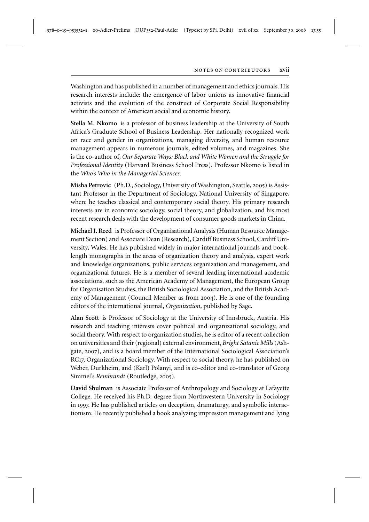#### notes on contributors xvii

Washington and has published in a number of management and ethics journals. His research interests include: the emergence of labor unions as innovative financial activists and the evolution of the construct of Corporate Social Responsibility within the context of American social and economic history.

**Stella M. Nkomo** is a professor of business leadership at the University of South Africa's Graduate School of Business Leadership. Her nationally recognized work on race and gender in organizations, managing diversity, and human resource management appears in numerous journals, edited volumes, and magazines. She is the co-author of, *Our Separate Ways: Black and White Women and the Struggle for Professional Identity* (Harvard Business School Press). Professor Nkomo is listed in the *Who's Who in the Managerial Sciences*.

**Misha Petrovic** (Ph.D., Sociology, University of Washington, Seattle, 2005) is Assistant Professor in the Department of Sociology, National University of Singapore, where he teaches classical and contemporary social theory. His primary research interests are in economic sociology, social theory, and globalization, and his most recent research deals with the development of consumer goods markets in China.

**Michael I. Reed** is Professor of Organisational Analysis (Human Resource Management Section) and Associate Dean (Research), Cardiff Business School, Cardiff University, Wales. He has published widely in major international journals and booklength monographs in the areas of organization theory and analysis, expert work and knowledge organizations, public services organization and management, and organizational futures. He is a member of several leading international academic associations, such as the American Academy of Management, the European Group for Organisation Studies, the British Sociological Association, and the British Academy of Management (Council Member as from 2004). He is one of the founding editors of the international journal, *Organization*, published by Sage.

**Alan Scott** is Professor of Sociology at the University of Innsbruck, Austria. His research and teaching interests cover political and organizational sociology, and social theory. With respect to organization studies, he is editor of a recent collection on universities and their (regional) external environment, *Bright Satanic Mills*(Ashgate, 2007), and is a board member of the International Sociological Association's RC17, Organizational Sociology. With respect to social theory, he has published on Weber, Durkheim, and (Karl) Polanyi, and is co-editor and co-translator of Georg Simmel's *Rembrandt* (Routledge, 2005).

**David Shulman** is Associate Professor of Anthropology and Sociology at Lafayette College. He received his Ph.D. degree from Northwestern University in Sociology in 1997. He has published articles on deception, dramaturgy, and symbolic interactionism. He recently published a book analyzing impression management and lying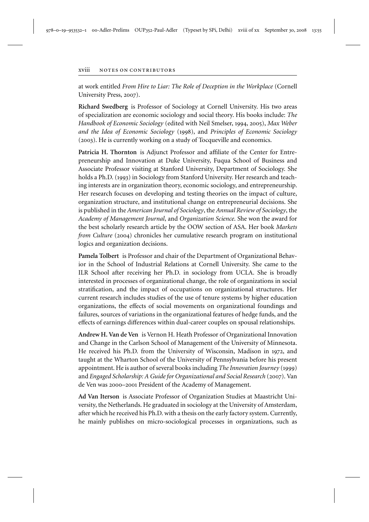#### xviii notes on contributors

at work entitled *From Hire to Liar: The Role of Deception in the Workplace* (Cornell University Press, 2007).

**Richard Swedberg** is Professor of Sociology at Cornell University. His two areas of specialization are economic sociology and social theory. His books include: *The Handbook of Economic Sociology* (edited with Neil Smelser, 1994, 2005), *Max Weber and the Idea of Economic Sociology* (1998), and *Principles of Economic Sociology* (2003). He is currently working on a study of Tocqueville and economics.

**Patricia H. Thornton** is Adjunct Professor and affiliate of the Center for Entrepreneurship and Innovation at Duke University, Fuqua School of Business and Associate Professor visiting at Stanford University, Department of Sociology. She holds a Ph.D. (1993) in Sociology from Stanford University. Her research and teaching interests are in organization theory, economic sociology, and entrepreneurship. Her research focuses on developing and testing theories on the impact of culture, organization structure, and institutional change on entrepreneurial decisions. She is published in the *American Journal of Sociology*, the *Annual Review of Sociology*, the *Academy of Management Journal*, and *Organization Science*. She won the award for the best scholarly research article by the OOW section of ASA. Her book *Markets from Culture* (2004) chronicles her cumulative research program on institutional logics and organization decisions.

**Pamela Tolbert** is Professor and chair of the Department of Organizational Behavior in the School of Industrial Relations at Cornell University. She came to the ILR School after receiving her Ph.D. in sociology from UCLA. She is broadly interested in processes of organizational change, the role of organizations in social stratification, and the impact of occupations on organizational structures. Her current research includes studies of the use of tenure systems by higher education organizations, the effects of social movements on organizational foundings and failures, sources of variations in the organizational features of hedge funds, and the effects of earnings differences within dual-career couples on spousal relationships.

**Andrew H. Van de Ven** is Vernon H. Heath Professor of Organizational Innovation and Change in the Carlson School of Management of the University of Minnesota. He received his Ph.D. from the University of Wisconsin, Madison in 1972, and taught at the Wharton School of the University of Pennsylvania before his present appointment. He is author of several books including *The Innovation Journey* (1999) and *Engaged Scholarship: A Guide for Organizational and Social Research* (2007). Van de Ven was 2000–2001 President of the Academy of Management.

**Ad Van Iterson** is Associate Professor of Organization Studies at Maastricht University, the Netherlands. He graduated in sociology at the University of Amsterdam, after which he received his Ph.D. with a thesis on the early factory system. Currently, he mainly publishes on micro-sociological processes in organizations, such as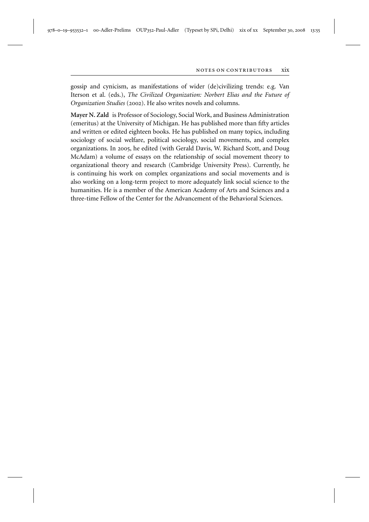#### notes on contributors xix

gossip and cynicism, as manifestations of wider (de)civilizing trends: e.g. Van Iterson et al. (eds.), *The Civilized Organization: Norbert Elias and the Future of Organization Studies* (2002). He also writes novels and columns.

**Mayer N. Zald** is Professor of Sociology, Social Work, and Business Administration (emeritus) at the University of Michigan. He has published more than fifty articles and written or edited eighteen books. He has published on many topics, including sociology of social welfare, political sociology, social movements, and complex organizations. In 2005, he edited (with Gerald Davis, W. Richard Scott, and Doug McAdam) a volume of essays on the relationship of social movement theory to organizational theory and research (Cambridge University Press). Currently, he is continuing his work on complex organizations and social movements and is also working on a long-term project to more adequately link social science to the humanities. He is a member of the American Academy of Arts and Sciences and a three-time Fellow of the Center for the Advancement of the Behavioral Sciences.